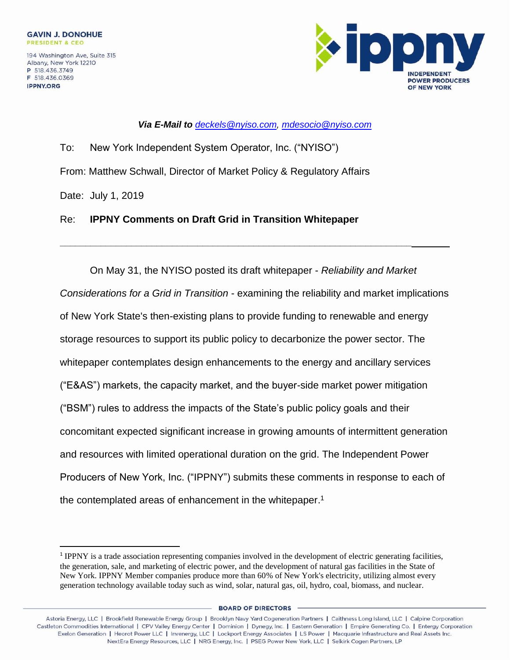**IPPNY.ORG** 

 $\overline{a}$ 



*Via E-Mail to [deckels@nyiso.com,](mailto:deckels@nyiso.com) [mdesocio@nyiso.com](mailto:mdesocio@nyiso.com)*

To: New York Independent System Operator, Inc. ("NYISO") From: Matthew Schwall, Director of Market Policy & Regulatory Affairs Date: July 1, 2019

## Re: **IPPNY Comments on Draft Grid in Transition Whitepaper**

**\_\_\_\_\_\_\_\_\_\_\_\_\_\_\_\_\_\_\_\_\_\_\_\_\_\_\_\_\_\_\_\_\_\_\_\_\_\_\_\_\_\_\_\_\_\_\_\_\_\_\_\_\_\_\_\_\_\_\_\_\_\_\_\_\_\_\_\_\_**

On May 31, the NYISO posted its draft whitepaper - *Reliability and Market Considerations for a Grid in Transition* - examining the reliability and market implications of New York State's then-existing plans to provide funding to renewable and energy storage resources to support its public policy to decarbonize the power sector. The whitepaper contemplates design enhancements to the energy and ancillary services ("E&AS") markets, the capacity market, and the buyer-side market power mitigation ("BSM") rules to address the impacts of the State's public policy goals and their concomitant expected significant increase in growing amounts of intermittent generation and resources with limited operational duration on the grid. The Independent Power Producers of New York, Inc. ("IPPNY") submits these comments in response to each of the contemplated areas of enhancement in the whitepaper.<sup>1</sup>

**BOARD OF DIRECTORS** 

<sup>&</sup>lt;sup>1</sup> IPPNY is a trade association representing companies involved in the development of electric generating facilities, the generation, sale, and marketing of electric power, and the development of natural gas facilities in the State of New York. IPPNY Member companies produce more than 60% of New York's electricity, utilizing almost every generation technology available today such as wind, solar, natural gas, oil, hydro, coal, biomass, and nuclear.

Astoria Energy, LLC | Brookfield Renewable Energy Group | Brooklyn Navy Yard Cogeneration Partners | Caithness Long Island, LLC | Calpine Corporation<br>1) Castleton Commodities International | CPV Valley Energy Center | Domi Exelon Generation | Heorot Power LLC | Invenergy, LLC | Lockport Energy Associates | LS Power | Macquarie Infrastructure and Real Assets Inc. NextEra Energy Resources, LLC | NRG Energy, Inc. | PSEG Power New York, LLC | Selkirk Cogen Partners, LP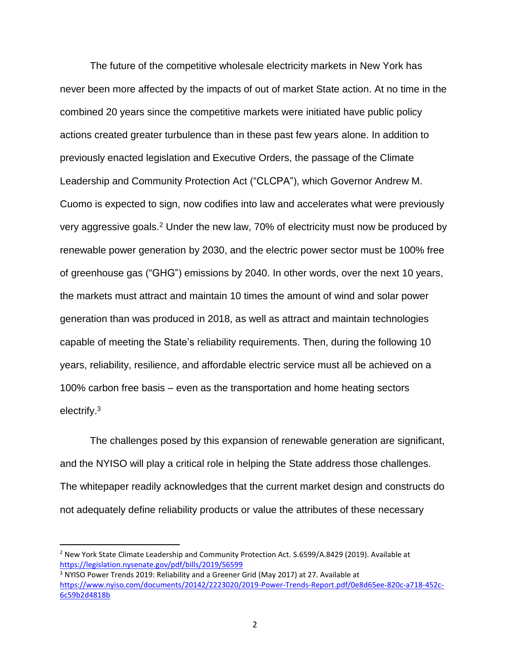The future of the competitive wholesale electricity markets in New York has never been more affected by the impacts of out of market State action. At no time in the combined 20 years since the competitive markets were initiated have public policy actions created greater turbulence than in these past few years alone. In addition to previously enacted legislation and Executive Orders, the passage of the Climate Leadership and Community Protection Act ("CLCPA"), which Governor Andrew M. Cuomo is expected to sign, now codifies into law and accelerates what were previously very aggressive goals.<sup>2</sup> Under the new law, 70% of electricity must now be produced by renewable power generation by 2030, and the electric power sector must be 100% free of greenhouse gas ("GHG") emissions by 2040. In other words, over the next 10 years, the markets must attract and maintain 10 times the amount of wind and solar power generation than was produced in 2018, as well as attract and maintain technologies capable of meeting the State's reliability requirements. Then, during the following 10 years, reliability, resilience, and affordable electric service must all be achieved on a 100% carbon free basis – even as the transportation and home heating sectors electrify.<sup>3</sup>

The challenges posed by this expansion of renewable generation are significant, and the NYISO will play a critical role in helping the State address those challenges. The whitepaper readily acknowledges that the current market design and constructs do not adequately define reliability products or value the attributes of these necessary

 $\overline{\phantom{a}}$ 

<sup>&</sup>lt;sup>2</sup> New York State Climate Leadership and Community Protection Act. S.6599/A.8429 (2019). Available at <https://legislation.nysenate.gov/pdf/bills/2019/S6599> <sup>3</sup> NYISO Power Trends 2019: Reliability and a Greener Grid (May 2017) at 27. Available at

[https://www.nyiso.com/documents/20142/2223020/2019-Power-Trends-Report.pdf/0e8d65ee-820c-a718-452c-](https://www.nyiso.com/documents/20142/2223020/2019-Power-Trends-Report.pdf/0e8d65ee-820c-a718-452c-6c59b2d4818b)[6c59b2d4818b](https://www.nyiso.com/documents/20142/2223020/2019-Power-Trends-Report.pdf/0e8d65ee-820c-a718-452c-6c59b2d4818b)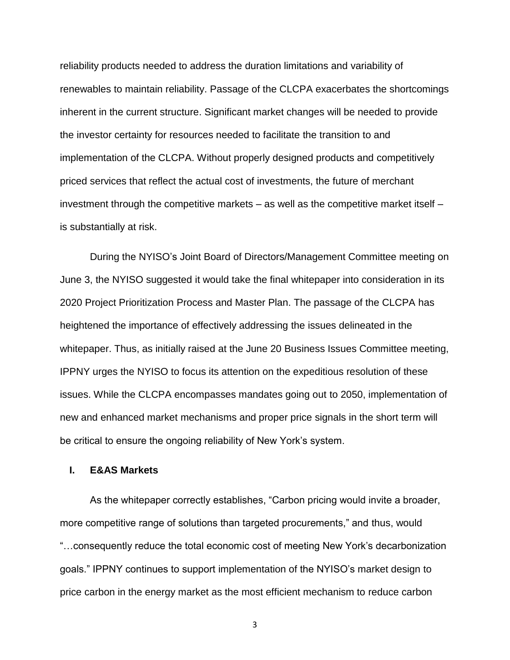reliability products needed to address the duration limitations and variability of renewables to maintain reliability. Passage of the CLCPA exacerbates the shortcomings inherent in the current structure. Significant market changes will be needed to provide the investor certainty for resources needed to facilitate the transition to and implementation of the CLCPA. Without properly designed products and competitively priced services that reflect the actual cost of investments, the future of merchant investment through the competitive markets – as well as the competitive market itself – is substantially at risk.

During the NYISO's Joint Board of Directors/Management Committee meeting on June 3, the NYISO suggested it would take the final whitepaper into consideration in its 2020 Project Prioritization Process and Master Plan. The passage of the CLCPA has heightened the importance of effectively addressing the issues delineated in the whitepaper. Thus, as initially raised at the June 20 Business Issues Committee meeting, IPPNY urges the NYISO to focus its attention on the expeditious resolution of these issues. While the CLCPA encompasses mandates going out to 2050, implementation of new and enhanced market mechanisms and proper price signals in the short term will be critical to ensure the ongoing reliability of New York's system.

### **I. E&AS Markets**

As the whitepaper correctly establishes, "Carbon pricing would invite a broader, more competitive range of solutions than targeted procurements," and thus, would "…consequently reduce the total economic cost of meeting New York's decarbonization goals." IPPNY continues to support implementation of the NYISO's market design to price carbon in the energy market as the most efficient mechanism to reduce carbon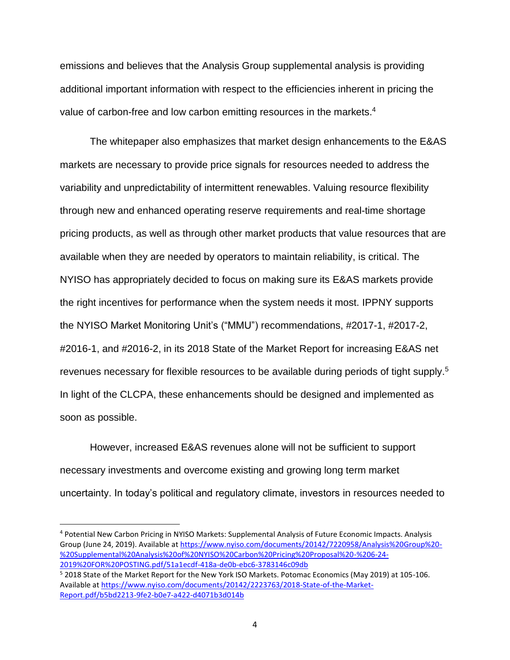emissions and believes that the Analysis Group supplemental analysis is providing additional important information with respect to the efficiencies inherent in pricing the value of carbon-free and low carbon emitting resources in the markets.<sup>4</sup>

The whitepaper also emphasizes that market design enhancements to the E&AS markets are necessary to provide price signals for resources needed to address the variability and unpredictability of intermittent renewables. Valuing resource flexibility through new and enhanced operating reserve requirements and real-time shortage pricing products, as well as through other market products that value resources that are available when they are needed by operators to maintain reliability, is critical. The NYISO has appropriately decided to focus on making sure its E&AS markets provide the right incentives for performance when the system needs it most. IPPNY supports the NYISO Market Monitoring Unit's ("MMU") recommendations, #2017-1, #2017-2, #2016-1, and #2016-2, in its 2018 State of the Market Report for increasing E&AS net revenues necessary for flexible resources to be available during periods of tight supply. 5 In light of the CLCPA, these enhancements should be designed and implemented as soon as possible.

However, increased E&AS revenues alone will not be sufficient to support necessary investments and overcome existing and growing long term market uncertainty. In today's political and regulatory climate, investors in resources needed to

 $\overline{\phantom{a}}$ 

<sup>4</sup> Potential New Carbon Pricing in NYISO Markets: Supplemental Analysis of Future Economic Impacts. Analysis Group (June 24, 2019). Available a[t https://www.nyiso.com/documents/20142/7220958/Analysis%20Group%20-](https://www.nyiso.com/documents/20142/7220958/Analysis%20Group%20-%20Supplemental%20Analysis%20of%20NYISO%20Carbon%20Pricing%20Proposal%20-%206-24-2019%20FOR%20POSTING.pdf/51a1ecdf-418a-de0b-ebc6-3783146c09db) [%20Supplemental%20Analysis%20of%20NYISO%20Carbon%20Pricing%20Proposal%20-%206-24-](https://www.nyiso.com/documents/20142/7220958/Analysis%20Group%20-%20Supplemental%20Analysis%20of%20NYISO%20Carbon%20Pricing%20Proposal%20-%206-24-2019%20FOR%20POSTING.pdf/51a1ecdf-418a-de0b-ebc6-3783146c09db) [2019%20FOR%20POSTING.pdf/51a1ecdf-418a-de0b-ebc6-3783146c09db](https://www.nyiso.com/documents/20142/7220958/Analysis%20Group%20-%20Supplemental%20Analysis%20of%20NYISO%20Carbon%20Pricing%20Proposal%20-%206-24-2019%20FOR%20POSTING.pdf/51a1ecdf-418a-de0b-ebc6-3783146c09db)

<sup>5</sup> 2018 State of the Market Report for the New York ISO Markets. Potomac Economics (May 2019) at 105-106. Available a[t https://www.nyiso.com/documents/20142/2223763/2018-State-of-the-Market-](https://www.nyiso.com/documents/20142/2223763/2018-State-of-the-Market-Report.pdf/b5bd2213-9fe2-b0e7-a422-d4071b3d014b)[Report.pdf/b5bd2213-9fe2-b0e7-a422-d4071b3d014b](https://www.nyiso.com/documents/20142/2223763/2018-State-of-the-Market-Report.pdf/b5bd2213-9fe2-b0e7-a422-d4071b3d014b)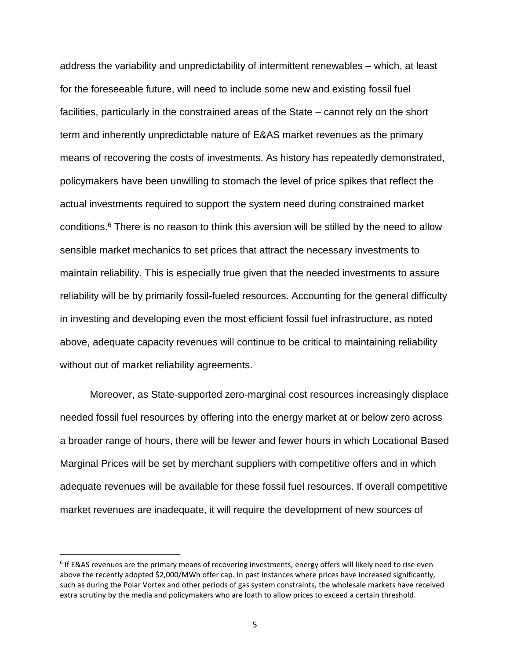address the variability and unpredictability of intermittent renewables – which, at least for the foreseeable future, will need to include some new and existing fossil fuel facilities, particularly in the constrained areas of the State – cannot rely on the short term and inherently unpredictable nature of E&AS market revenues as the primary means of recovering the costs of investments. As history has repeatedly demonstrated, policymakers have been unwilling to stomach the level of price spikes that reflect the actual investments required to support the system need during constrained market conditions. <sup>6</sup> There is no reason to think this aversion will be stilled by the need to allow sensible market mechanics to set prices that attract the necessary investments to maintain reliability. This is especially true given that the needed investments to assure reliability will be by primarily fossil-fueled resources. Accounting for the general difficulty in investing and developing even the most efficient fossil fuel infrastructure, as noted above, adequate capacity revenues will continue to be critical to maintaining reliability without out of market reliability agreements.

Moreover, as State-supported zero-marginal cost resources increasingly displace needed fossil fuel resources by offering into the energy market at or below zero across a broader range of hours, there will be fewer and fewer hours in which Locational Based Marginal Prices will be set by merchant suppliers with competitive offers and in which adequate revenues will be available for these fossil fuel resources. If overall competitive market revenues are inadequate, it will require the development of new sources of

l

<sup>&</sup>lt;sup>6</sup> If E&AS revenues are the primary means of recovering investments, energy offers will likely need to rise even above the recently adopted \$2,000/MWh offer cap. In past instances where prices have increased significantly, such as during the Polar Vortex and other periods of gas system constraints, the wholesale markets have received extra scrutiny by the media and policymakers who are loath to allow prices to exceed a certain threshold.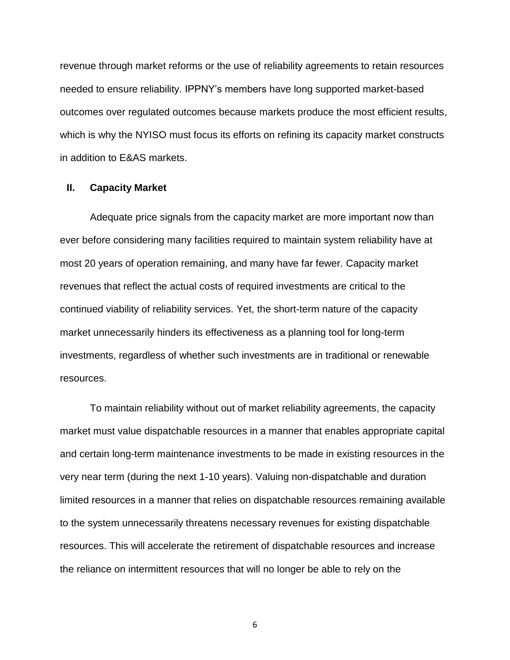revenue through market reforms or the use of reliability agreements to retain resources needed to ensure reliability. IPPNY's members have long supported market-based outcomes over regulated outcomes because markets produce the most efficient results, which is why the NYISO must focus its efforts on refining its capacity market constructs in addition to E&AS markets.

#### **II. Capacity Market**

Adequate price signals from the capacity market are more important now than ever before considering many facilities required to maintain system reliability have at most 20 years of operation remaining, and many have far fewer. Capacity market revenues that reflect the actual costs of required investments are critical to the continued viability of reliability services. Yet, the short-term nature of the capacity market unnecessarily hinders its effectiveness as a planning tool for long-term investments, regardless of whether such investments are in traditional or renewable resources.

To maintain reliability without out of market reliability agreements, the capacity market must value dispatchable resources in a manner that enables appropriate capital and certain long-term maintenance investments to be made in existing resources in the very near term (during the next 1-10 years). Valuing non-dispatchable and duration limited resources in a manner that relies on dispatchable resources remaining available to the system unnecessarily threatens necessary revenues for existing dispatchable resources. This will accelerate the retirement of dispatchable resources and increase the reliance on intermittent resources that will no longer be able to rely on the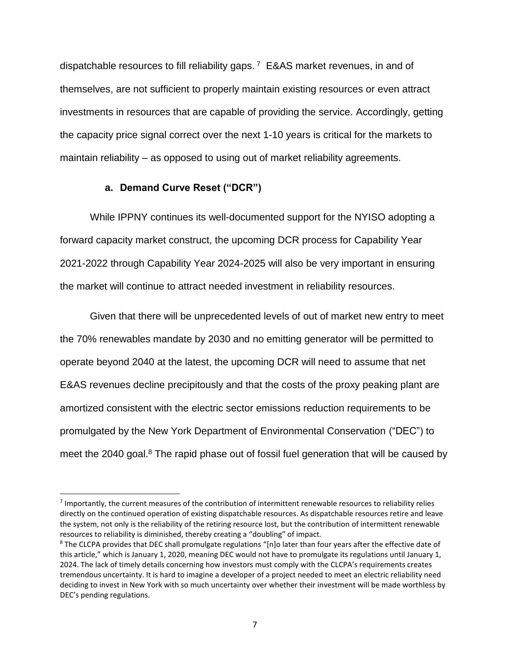dispatchable resources to fill reliability gaps. <sup>7</sup> E&AS market revenues, in and of themselves, are not sufficient to properly maintain existing resources or even attract investments in resources that are capable of providing the service. Accordingly, getting the capacity price signal correct over the next 1-10 years is critical for the markets to maintain reliability – as opposed to using out of market reliability agreements.

### **a. Demand Curve Reset ("DCR")**

 $\overline{a}$ 

While IPPNY continues its well-documented support for the NYISO adopting a forward capacity market construct, the upcoming DCR process for Capability Year 2021-2022 through Capability Year 2024-2025 will also be very important in ensuring the market will continue to attract needed investment in reliability resources.

Given that there will be unprecedented levels of out of market new entry to meet the 70% renewables mandate by 2030 and no emitting generator will be permitted to operate beyond 2040 at the latest, the upcoming DCR will need to assume that net E&AS revenues decline precipitously and that the costs of the proxy peaking plant are amortized consistent with the electric sector emissions reduction requirements to be promulgated by the New York Department of Environmental Conservation ("DEC") to meet the 2040 goal.<sup>8</sup> The rapid phase out of fossil fuel generation that will be caused by

<sup>&</sup>lt;sup>7</sup> Importantly, the current measures of the contribution of intermittent renewable resources to reliability relies directly on the continued operation of existing dispatchable resources. As dispatchable resources retire and leave the system, not only is the reliability of the retiring resource lost, but the contribution of intermittent renewable resources to reliability is diminished, thereby creating a "doubling" of impact.

<sup>&</sup>lt;sup>8</sup> The CLCPA provides that DEC shall promulgate regulations "[n]o later than four years after the effective date of this article," which is January 1, 2020, meaning DEC would not have to promulgate its regulations until January 1, 2024. The lack of timely details concerning how investors must comply with the CLCPA's requirements creates tremendous uncertainty. It is hard to imagine a developer of a project needed to meet an electric reliability need deciding to invest in New York with so much uncertainty over whether their investment will be made worthless by DEC's pending regulations.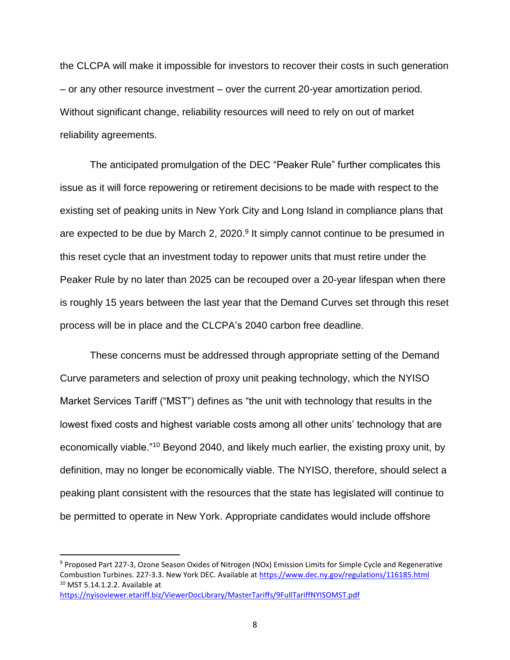the CLCPA will make it impossible for investors to recover their costs in such generation – or any other resource investment – over the current 20-year amortization period. Without significant change, reliability resources will need to rely on out of market reliability agreements.

The anticipated promulgation of the DEC "Peaker Rule" further complicates this issue as it will force repowering or retirement decisions to be made with respect to the existing set of peaking units in New York City and Long Island in compliance plans that are expected to be due by March 2, 2020.<sup>9</sup> It simply cannot continue to be presumed in this reset cycle that an investment today to repower units that must retire under the Peaker Rule by no later than 2025 can be recouped over a 20-year lifespan when there is roughly 15 years between the last year that the Demand Curves set through this reset process will be in place and the CLCPA's 2040 carbon free deadline.

These concerns must be addressed through appropriate setting of the Demand Curve parameters and selection of proxy unit peaking technology, which the NYISO Market Services Tariff ("MST") defines as "the unit with technology that results in the lowest fixed costs and highest variable costs among all other units' technology that are economically viable."<sup>10</sup> Beyond 2040, and likely much earlier, the existing proxy unit, by definition, may no longer be economically viable. The NYISO, therefore, should select a peaking plant consistent with the resources that the state has legislated will continue to be permitted to operate in New York. Appropriate candidates would include offshore

l

<sup>&</sup>lt;sup>9</sup> Proposed Part 227-3, Ozone Season Oxides of Nitrogen (NOx) Emission Limits for Simple Cycle and Regenerative Combustion Turbines. 227-3.3. New York DEC. Available at <https://www.dec.ny.gov/regulations/116185.html> <sup>10</sup> MST 5.14.1.2.2. Available at

<https://nyisoviewer.etariff.biz/ViewerDocLibrary/MasterTariffs/9FullTariffNYISOMST.pdf>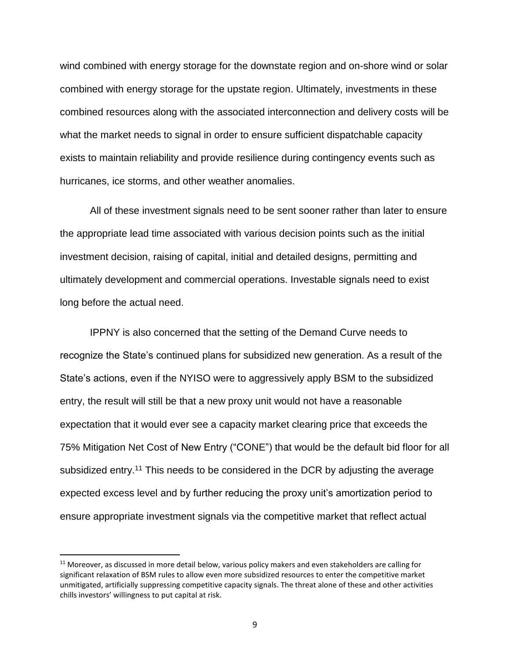wind combined with energy storage for the downstate region and on-shore wind or solar combined with energy storage for the upstate region. Ultimately, investments in these combined resources along with the associated interconnection and delivery costs will be what the market needs to signal in order to ensure sufficient dispatchable capacity exists to maintain reliability and provide resilience during contingency events such as hurricanes, ice storms, and other weather anomalies.

All of these investment signals need to be sent sooner rather than later to ensure the appropriate lead time associated with various decision points such as the initial investment decision, raising of capital, initial and detailed designs, permitting and ultimately development and commercial operations. Investable signals need to exist long before the actual need.

IPPNY is also concerned that the setting of the Demand Curve needs to recognize the State's continued plans for subsidized new generation. As a result of the State's actions, even if the NYISO were to aggressively apply BSM to the subsidized entry, the result will still be that a new proxy unit would not have a reasonable expectation that it would ever see a capacity market clearing price that exceeds the 75% Mitigation Net Cost of New Entry ("CONE") that would be the default bid floor for all subsidized entry.<sup>11</sup> This needs to be considered in the DCR by adjusting the average expected excess level and by further reducing the proxy unit's amortization period to ensure appropriate investment signals via the competitive market that reflect actual

l

 $11$  Moreover, as discussed in more detail below, various policy makers and even stakeholders are calling for significant relaxation of BSM rules to allow even more subsidized resources to enter the competitive market unmitigated, artificially suppressing competitive capacity signals. The threat alone of these and other activities chills investors' willingness to put capital at risk.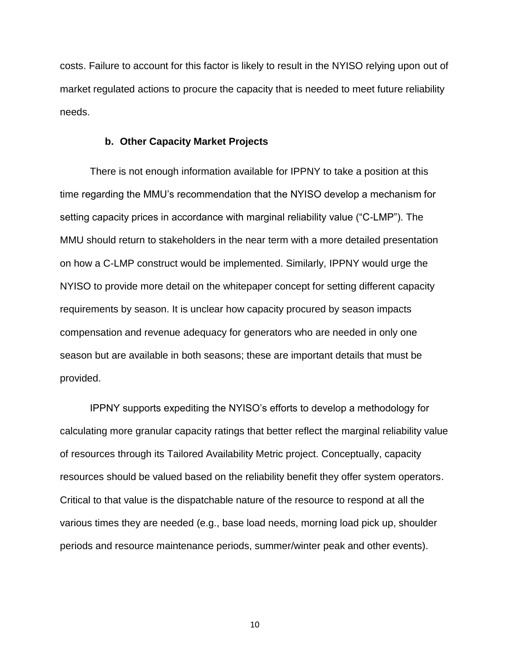costs. Failure to account for this factor is likely to result in the NYISO relying upon out of market regulated actions to procure the capacity that is needed to meet future reliability needs.

#### **b. Other Capacity Market Projects**

There is not enough information available for IPPNY to take a position at this time regarding the MMU's recommendation that the NYISO develop a mechanism for setting capacity prices in accordance with marginal reliability value ("C-LMP"). The MMU should return to stakeholders in the near term with a more detailed presentation on how a C-LMP construct would be implemented. Similarly, IPPNY would urge the NYISO to provide more detail on the whitepaper concept for setting different capacity requirements by season. It is unclear how capacity procured by season impacts compensation and revenue adequacy for generators who are needed in only one season but are available in both seasons; these are important details that must be provided.

IPPNY supports expediting the NYISO's efforts to develop a methodology for calculating more granular capacity ratings that better reflect the marginal reliability value of resources through its Tailored Availability Metric project. Conceptually, capacity resources should be valued based on the reliability benefit they offer system operators. Critical to that value is the dispatchable nature of the resource to respond at all the various times they are needed (e.g., base load needs, morning load pick up, shoulder periods and resource maintenance periods, summer/winter peak and other events).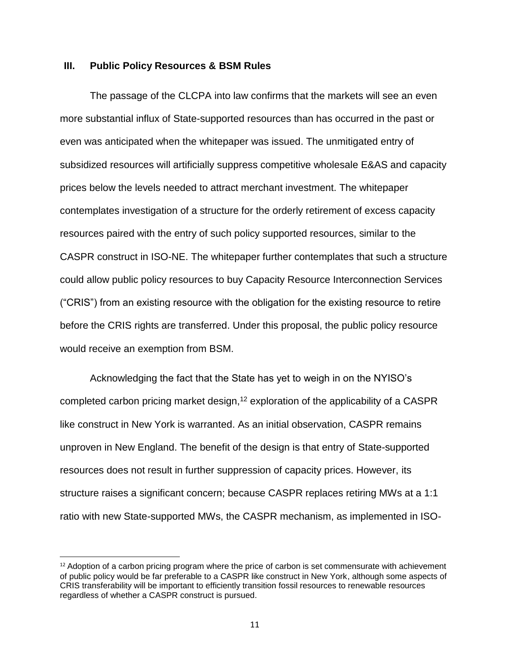#### **III. Public Policy Resources & BSM Rules**

The passage of the CLCPA into law confirms that the markets will see an even more substantial influx of State-supported resources than has occurred in the past or even was anticipated when the whitepaper was issued. The unmitigated entry of subsidized resources will artificially suppress competitive wholesale E&AS and capacity prices below the levels needed to attract merchant investment. The whitepaper contemplates investigation of a structure for the orderly retirement of excess capacity resources paired with the entry of such policy supported resources, similar to the CASPR construct in ISO-NE. The whitepaper further contemplates that such a structure could allow public policy resources to buy Capacity Resource Interconnection Services ("CRIS") from an existing resource with the obligation for the existing resource to retire before the CRIS rights are transferred. Under this proposal, the public policy resource would receive an exemption from BSM.

Acknowledging the fact that the State has yet to weigh in on the NYISO's completed carbon pricing market design,<sup>12</sup> exploration of the applicability of a CASPR like construct in New York is warranted. As an initial observation, CASPR remains unproven in New England. The benefit of the design is that entry of State-supported resources does not result in further suppression of capacity prices. However, its structure raises a significant concern; because CASPR replaces retiring MWs at a 1:1 ratio with new State-supported MWs, the CASPR mechanism, as implemented in ISO-

 $\overline{a}$ 

 $12$  Adoption of a carbon pricing program where the price of carbon is set commensurate with achievement of public policy would be far preferable to a CASPR like construct in New York, although some aspects of CRIS transferability will be important to efficiently transition fossil resources to renewable resources regardless of whether a CASPR construct is pursued.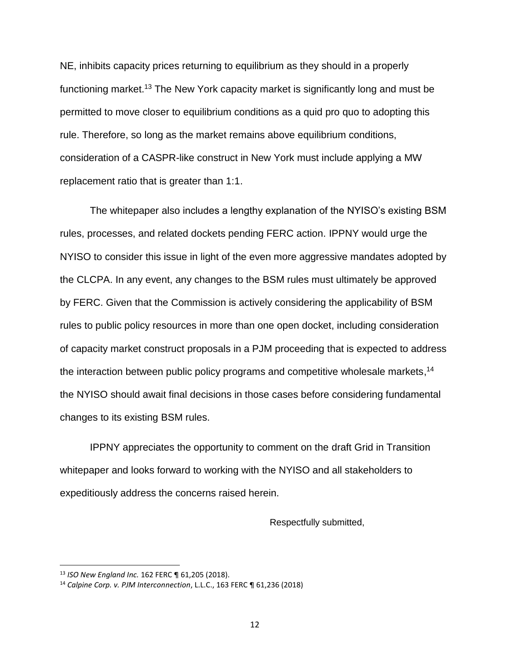NE, inhibits capacity prices returning to equilibrium as they should in a properly functioning market.<sup>13</sup> The New York capacity market is significantly long and must be permitted to move closer to equilibrium conditions as a quid pro quo to adopting this rule. Therefore, so long as the market remains above equilibrium conditions, consideration of a CASPR-like construct in New York must include applying a MW replacement ratio that is greater than 1:1.

The whitepaper also includes a lengthy explanation of the NYISO's existing BSM rules, processes, and related dockets pending FERC action. IPPNY would urge the NYISO to consider this issue in light of the even more aggressive mandates adopted by the CLCPA. In any event, any changes to the BSM rules must ultimately be approved by FERC. Given that the Commission is actively considering the applicability of BSM rules to public policy resources in more than one open docket, including consideration of capacity market construct proposals in a PJM proceeding that is expected to address the interaction between public policy programs and competitive wholesale markets,<sup>14</sup> the NYISO should await final decisions in those cases before considering fundamental changes to its existing BSM rules.

IPPNY appreciates the opportunity to comment on the draft Grid in Transition whitepaper and looks forward to working with the NYISO and all stakeholders to expeditiously address the concerns raised herein.

Respectfully submitted,

 $\overline{a}$ 

<sup>13</sup> *ISO New England Inc.* 162 FERC ¶ 61,205 (2018).

<sup>14</sup> *Calpine Corp. v. PJM Interconnection*, L.L.C., 163 FERC ¶ 61,236 (2018)